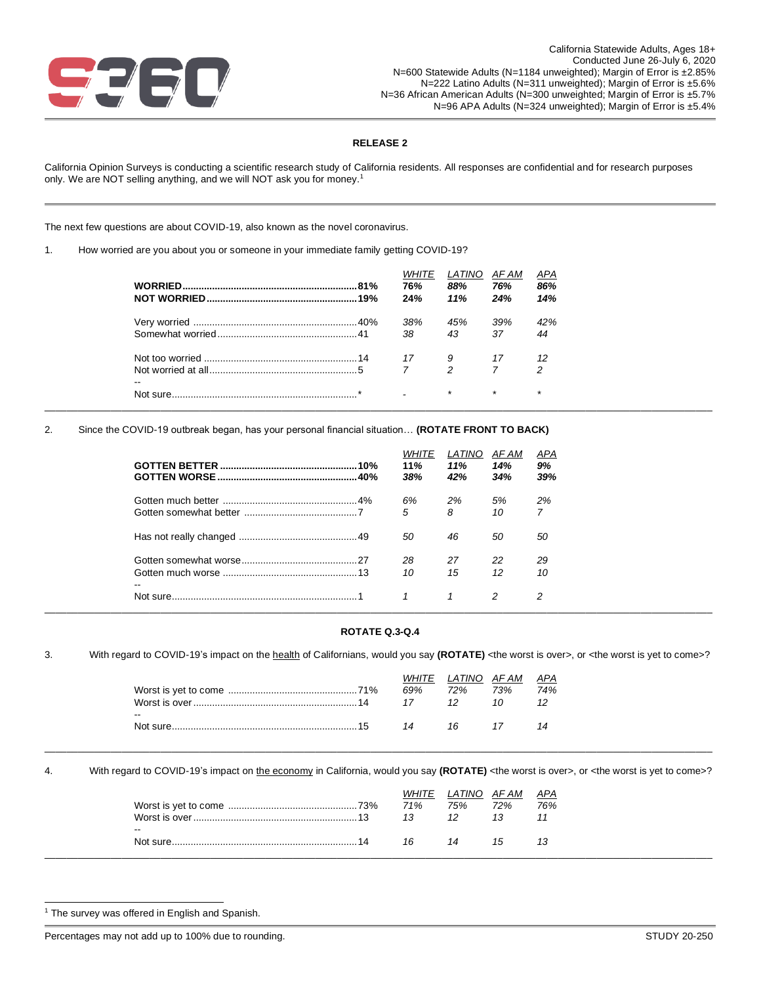

## **RELEASE 2**

California Opinion Surveys is conducting a scientific research study of California residents. All responses are confidential and for research purposes only. We are NOT selling anything, and we will NOT ask you for money.<sup>1</sup>

The next few questions are about COVID-19, also known as the novel coronavirus.

1. How worried are you about you or someone in your immediate family getting COVID-19?

|                                       | WHIIE<br>76%<br>24% | <i>LATINO</i><br>88%<br>11% | AF AM<br>76%<br>24% | APA<br>86%<br>14% |
|---------------------------------------|---------------------|-----------------------------|---------------------|-------------------|
|                                       | 38%                 | 45%                         | 39%                 | 42%               |
|                                       | 38                  | 43                          | 37                  | 44                |
|                                       | 17 9                |                             | 17                  |                   |
|                                       | $7 \quad 2$         |                             |                     | 2                 |
| $\overline{\phantom{m}}$<br>Not sure. |                     | $\star$                     | $\star$             | $\star$           |

2. Since the COVID-19 outbreak began, has your personal financial situation… **(ROTATE FRONT TO BACK)**

|                          | <b>WHITE</b><br>11%<br>38% | LATINO<br>11%<br>42% | AF AM<br>14%<br>34% | APA<br>9%<br>39% |
|--------------------------|----------------------------|----------------------|---------------------|------------------|
|                          | 6%                         | 2%                   | 5%                  | 2%               |
|                          | 5                          | 8                    | 10                  | $\overline{7}$   |
|                          | 50                         | 46                   | 50                  | 50               |
|                          | 28                         | 27                   | 22                  | 29               |
| $\overline{\phantom{m}}$ | 10                         | 15                   | 12                  | 10               |
|                          |                            |                      |                     | 2                |

### **ROTATE Q.3-Q.4**

3. With regard to COVID-19's impact on the health of Californians, would you say (ROTATE) <the worst is over>, or <the worst is yet to come>?

|  | 74%                   |
|--|-----------------------|
|  |                       |
|  |                       |
|  | WHITE LATINO AFAM APA |

4. With regard to COVID-19's impact on the economy in California, would you say (ROTATE) <the worst is over>, or <the worst is yet to come>?

|                                       | <b>WHITE</b><br>71% | LATINO<br>75% | AF AM<br>72% | APA<br>76% |
|---------------------------------------|---------------------|---------------|--------------|------------|
| $\overline{\phantom{a}}$<br>Not sure. | 16                  | 14            | 15           |            |

<sup>&</sup>lt;sup>1</sup> The survey was offered in English and Spanish.

Percentages may not add up to 100% due to rounding. STUDY 20-250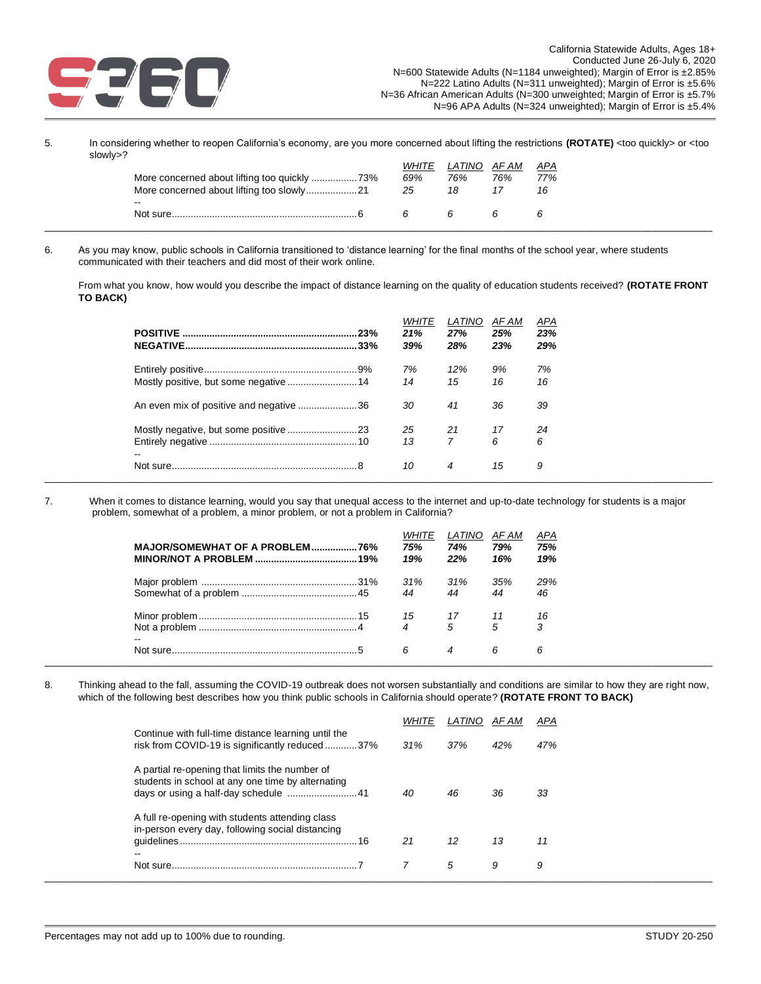

5. In considering whether to reopen California's economy, are you more concerned about lifting the restrictions **(ROTATE)** <too quickly> or <too slowly>?

|                          | <b>WHITE</b> | LATINO AFAM |     | APA |
|--------------------------|--------------|-------------|-----|-----|
|                          | 69%          | 76%         | 76% | 77% |
|                          | 25           | 18          |     |     |
| $\overline{\phantom{a}}$ |              |             |     |     |
|                          |              |             |     |     |
|                          |              |             |     |     |

6. As you may know, public schools in California transitioned to 'distance learning' for the final months of the school year, where students communicated with their teachers and did most of their work online.

From what you know, how would you describe the impact of distance learning on the quality of education students received? **(ROTATE FRONT TO BACK)**

|                                         | 23%<br>.33% | <b>WHITE</b><br>21%<br>39% | LATINO<br>27%<br>28% | AF AM<br>25%<br>23% | APA<br>23%<br>29% |
|-----------------------------------------|-------------|----------------------------|----------------------|---------------------|-------------------|
|                                         |             | 7%                         | 12%                  | 9%                  | 7%                |
| Mostly positive, but some negative 14   |             | 14                         | 15                   | 16                  | 16                |
| An even mix of positive and negative 36 |             | 30                         | 41                   | 36                  | 39                |
|                                         |             | 25                         | 21                   | 17                  | 24                |
|                                         |             | 13                         | 7                    | 6                   | 6                 |
| $\overline{\phantom{a}}$                |             | 10                         | 4                    | 15                  | 9                 |

7. When it comes to distance learning, would you say that unequal access to the internet and up-to-date technology for students is a major problem, somewhat of a problem, a minor problem, or not a problem in California?

|                          | WHITE<br>75%<br>19%                                        | <i>LATINO</i><br>74%<br>22% | AF AM<br>79%<br>16% | APA<br>75%<br>19% |
|--------------------------|------------------------------------------------------------|-----------------------------|---------------------|-------------------|
|                          | 31%                                                        | 31%                         | 35%                 | 29%               |
|                          | 44                                                         | 44                          | 44                  | 46                |
|                          | $\begin{array}{ccc} 15 & 17 & 11 \\ 4 & 5 & 7 \end{array}$ |                             |                     | 16                |
|                          |                                                            |                             |                     | 3                 |
| $\overline{\phantom{a}}$ | 6                                                          | 4                           | 6                   | 6                 |

8. Thinking ahead to the fall, assuming the COVID-19 outbreak does not worsen substantially and conditions are similar to how they are right now, which of the following best describes how you think public schools in California should operate? **(ROTATE FRONT TO BACK)**

| Continue with full-time distance learning until the                                                                             | WHITE | <i>LA HNO</i> | AF AM | APA |
|---------------------------------------------------------------------------------------------------------------------------------|-------|---------------|-------|-----|
| risk from COVID-19 is significantly reduced37%                                                                                  | 31%   | 37%           | 42%   | 47% |
| A partial re-opening that limits the number of<br>students in school at any one time by alternating                             | 40    | 46            | 36    | 33  |
| A full re-opening with students attending class<br>in-person every day, following social distancing<br>$\overline{\phantom{m}}$ | 21    | 12            | 13    | 11  |
|                                                                                                                                 |       | 5             | 9     | 9   |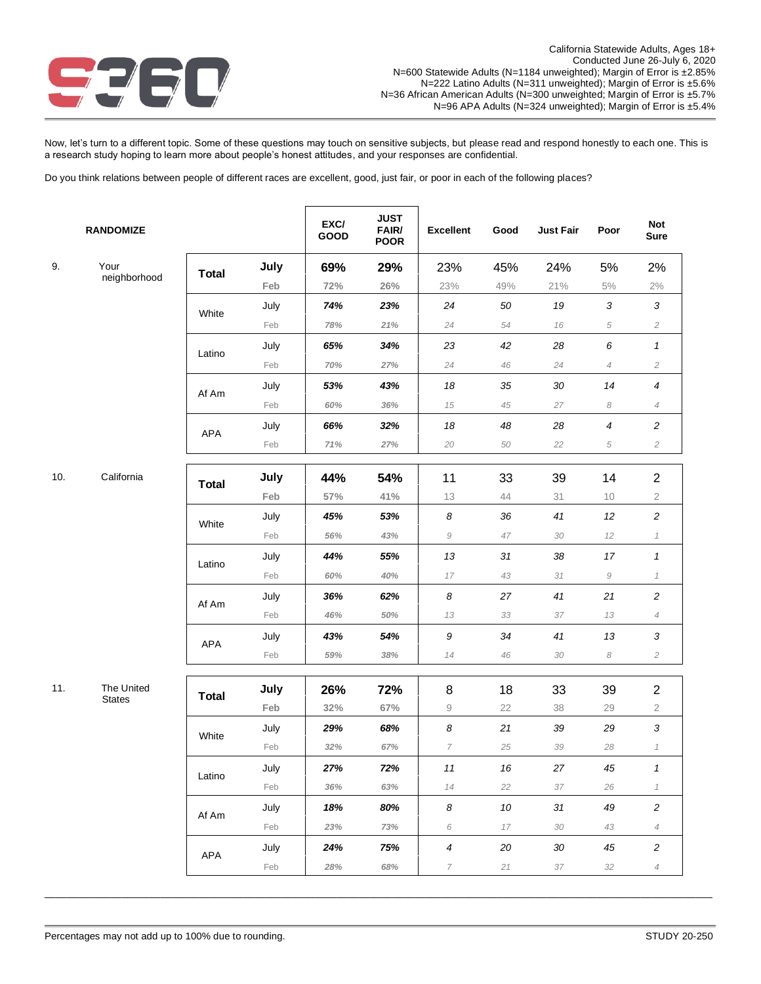

Now, let's turn to a different topic. Some of these questions may touch on sensitive subjects, but please read and respond honestly to each one. This is a research study hoping to learn more about people's honest attitudes, and your responses are confidential.

Do you think relations between people of different races are excellent, good, just fair, or poor in each of the following places?

|     | <b>RANDOMIZE</b> |              |      | EXC/<br>GOOD | <b>JUST</b><br>FAIR/<br><b>POOR</b> | <b>Excellent</b>        | Good | <b>Just Fair</b> | Poor                       | <b>Not</b><br><b>Sure</b>     |
|-----|------------------|--------------|------|--------------|-------------------------------------|-------------------------|------|------------------|----------------------------|-------------------------------|
| 9.  | Your             | <b>Total</b> | July | 69%          | 29%                                 | 23%                     | 45%  | 24%              | 5%                         | 2%                            |
|     | neighborhood     |              | Feb  | 72%          | $26\%$                              | 23%                     | 49%  | 21%              | $5\%$                      | $2\%$                         |
|     |                  | White        | July | 74%          | 23%                                 | 24                      | 50   | 19               | 3                          | $\sqrt{3}$                    |
|     |                  |              | Feb  | 78%          | 21%                                 | 24                      | 54   | 16               | 5                          | $\sqrt{2}$                    |
|     |                  | Latino       | July | 65%          | 34%                                 | 23                      | 42   | 28               | 6                          | 1                             |
|     |                  |              | Feb  | $70%$        | 27%                                 | 24                      | 46   | 24               | $\overline{4}$             | $\sqrt{2}$                    |
|     |                  | Af Am        | July | 53%          | 43%                                 | 18                      | 35   | 30               | 14                         | $\boldsymbol{4}$              |
|     |                  |              | Feb  | 60%          | 36%                                 | 15                      | 45   | 27               | 8                          | $\ensuremath{\mathnormal{4}}$ |
|     |                  | APA          | July | 66%          | 32%                                 | 18                      | 48   | 28               | 4                          | 2                             |
|     |                  |              | Feb  | 71%          | 27%                                 | 20                      | 50   | 22               | 5                          | $\sqrt{2}$                    |
|     |                  |              |      |              |                                     |                         |      |                  |                            |                               |
| 10. | California       | <b>Total</b> | July | 44%          | 54%                                 | 11                      | 33   | 39               | 14                         | $\overline{2}$                |
|     |                  |              | Feb  | 57%          | 41%                                 | 13                      | 44   | 31               | 10                         | $\mathbf 2$                   |
|     |                  | White        | July | 45%          | 53%                                 | 8                       | 36   | 41               | 12                         | $\overline{\mathbf{c}}$       |
|     |                  |              | Feb  | $56\%$       | 43%                                 | $\mathcal G$            | 47   | 30               | 12                         | $\mathcal I$                  |
|     |                  | Latino       | July | 44%          | 55%                                 | 13                      | 31   | 38               | 17                         | 1                             |
|     |                  |              | Feb  | 60%          | 40%                                 | 17                      | 43   | 31               | 9                          | $\mathcal I$                  |
|     |                  | Af Am        | July | 36%          | 62%                                 | 8                       | 27   | 41               | 21                         | $\overline{c}$                |
|     |                  |              | Feb  | 46%          | 50%                                 | 13                      | 33   | 37               | 13                         | $\ensuremath{\mathnormal{4}}$ |
|     |                  | APA          | July | 43%          | 54%                                 | 9                       | 34   | 41               | 13                         | 3                             |
|     |                  |              | Feb  | 59%          | 38%                                 | 14                      | 46   | 30               | $\boldsymbol{\mathcal{S}}$ | $\sqrt{2}$                    |
| 11. | The United       | <b>Total</b> | July | 26%          | 72%                                 | 8                       | 18   | 33               | 39                         | $\overline{c}$                |
|     | <b>States</b>    |              | Feb  | 32%          | 67%                                 | $\mathrel{\mathcal{G}}$ | 22   | 38               | 29                         | 2                             |
|     |                  |              | July | 29%          | 68%                                 | 8                       | 21   | 39               | 29                         | 3                             |
|     |                  | White        | Feb  | 32%          | 67%                                 | $\overline{7}$          | 25   | 39               | 28                         | $\it 1$                       |
|     |                  | Latino       | July | 27%          | 72%                                 | $11$                    | 16   | 27               | 45                         | 1                             |
|     |                  |              | Feb  | 36%          | 63%                                 | 14                      | 22   | 37               | 26                         | $\mathcal I$                  |
|     |                  | Af Am        | July | 18%          | 80%                                 | 8                       | 10   | 31               | 49                         | $\overline{c}$                |
|     |                  |              | Feb  | 23%          | 73%                                 | 6                       | 17   | 30               | 43                         | $\overline{4}$                |
|     |                  | APA          | July | 24%          | 75%                                 | $\boldsymbol{4}$        | 20   | 30               | 45                         | $\overline{c}$                |
|     |                  |              | Feb  | 28%          | 68%                                 | 7                       | 21   | 37               | 32                         | $\overline{4}$                |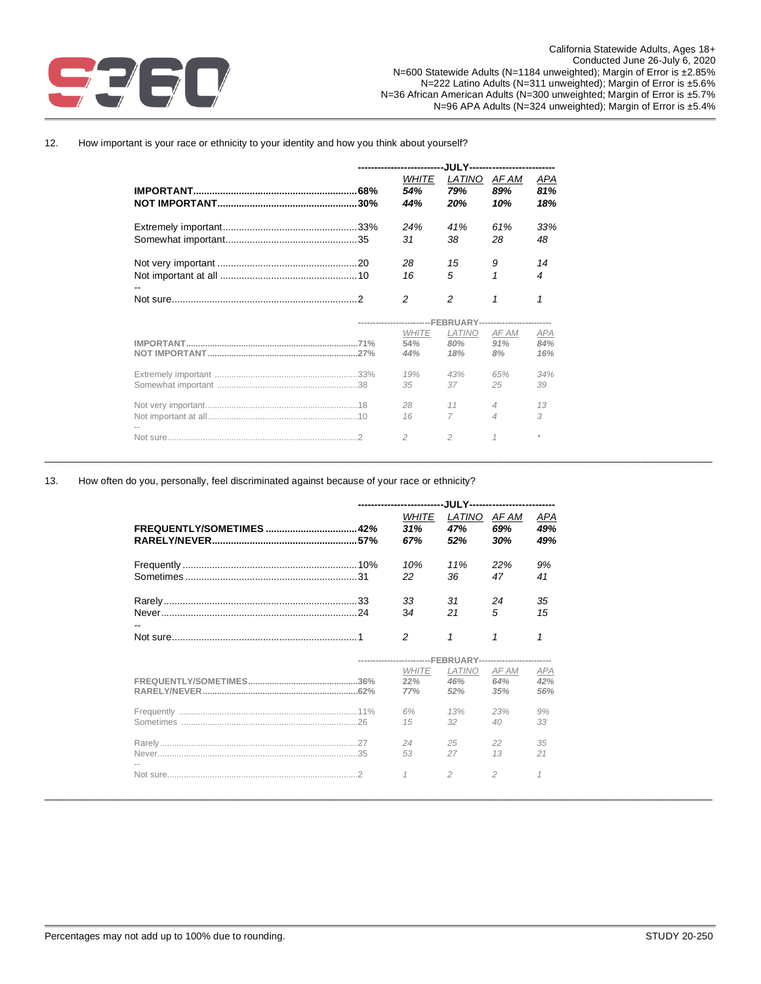

## 12. How important is your race or ethnicity to your identity and how you think about yourself?

| -------------------------- | -.IUI Y------- <i>--------------------</i> |                |                                                            |            |  |  |
|----------------------------|--------------------------------------------|----------------|------------------------------------------------------------|------------|--|--|
|                            | WHITE                                      | LATINO         | AF AM                                                      | APA        |  |  |
|                            | 54%                                        | 79%            | 89%                                                        | 81%        |  |  |
|                            | 44%                                        | 20%            | 10%                                                        | 18%        |  |  |
|                            | 24%                                        | 41%            | 61%                                                        | 33%        |  |  |
|                            | 31                                         | 38             | 28                                                         | 48         |  |  |
|                            | 28                                         | 15             | 9                                                          | 14         |  |  |
|                            | 16                                         | 5              |                                                            | 4          |  |  |
|                            | 2                                          | $\mathfrak{p}$ | 1                                                          | 1          |  |  |
|                            |                                            |                | -------------------------FEBRUARY------------------------- |            |  |  |
|                            |                                            |                |                                                            |            |  |  |
|                            | <b>WHITE</b>                               | <b>LATINO</b>  | AF AM                                                      | <b>APA</b> |  |  |
|                            | 54%                                        | 80%            | 91%                                                        | 84%        |  |  |
|                            | 44%                                        | 18%            | 8%                                                         | 16%        |  |  |
|                            | 19%                                        | 43%            | 65%                                                        | 34%        |  |  |
|                            | 35                                         | 37             | 25                                                         | 39         |  |  |
|                            | 28                                         | 11             | $\overline{4}$                                             | 13         |  |  |
|                            | 16                                         | 7              | $\overline{4}$                                             | 3          |  |  |

\_\_\_\_\_\_\_\_\_\_\_\_\_\_\_\_\_\_\_\_\_\_\_\_\_\_\_\_\_\_\_\_\_\_\_\_\_\_\_\_\_\_\_\_\_\_\_\_\_\_\_\_\_\_\_\_\_\_\_\_\_\_\_\_\_\_\_\_\_\_\_\_\_\_\_\_\_\_\_\_\_\_\_\_\_\_\_\_\_\_\_\_\_\_\_\_\_\_\_\_\_\_\_\_\_\_\_\_\_\_\_\_\_\_\_\_\_\_\_\_\_

### 13. How often do you, personally, feel discriminated against because of your race or ethnicity?

|  | WHITE<br>31%<br>67%        | LATINO<br>47%<br>52%                                      | AF AM<br>69%<br>30% | APA<br>49%<br>49%        |
|--|----------------------------|-----------------------------------------------------------|---------------------|--------------------------|
|  | 10%<br>22                  | 11%<br>36.                                                | 22%<br>47           | 9%<br>41                 |
|  | 33<br>34                   | .31<br>21                                                 | 24<br>5             | 35<br>15                 |
|  | $\overline{c}$             | 1                                                         | 1                   | 1                        |
|  |                            | -------------------------FEBRUARY------------------------ |                     |                          |
|  | <b>WHITE</b><br>22%<br>77% | <b>LATINO</b><br>46%<br>52%                               | AF AM<br>64%<br>35% | <b>APA</b><br>42%<br>56% |
|  | 6%<br>15                   | 13%<br>$32^{\circ}$                                       | 23%<br>40           | 9%<br>33                 |
|  |                            |                                                           |                     |                          |
|  | 24<br>53                   | 25<br>27                                                  | 22<br>13            | 35<br>21                 |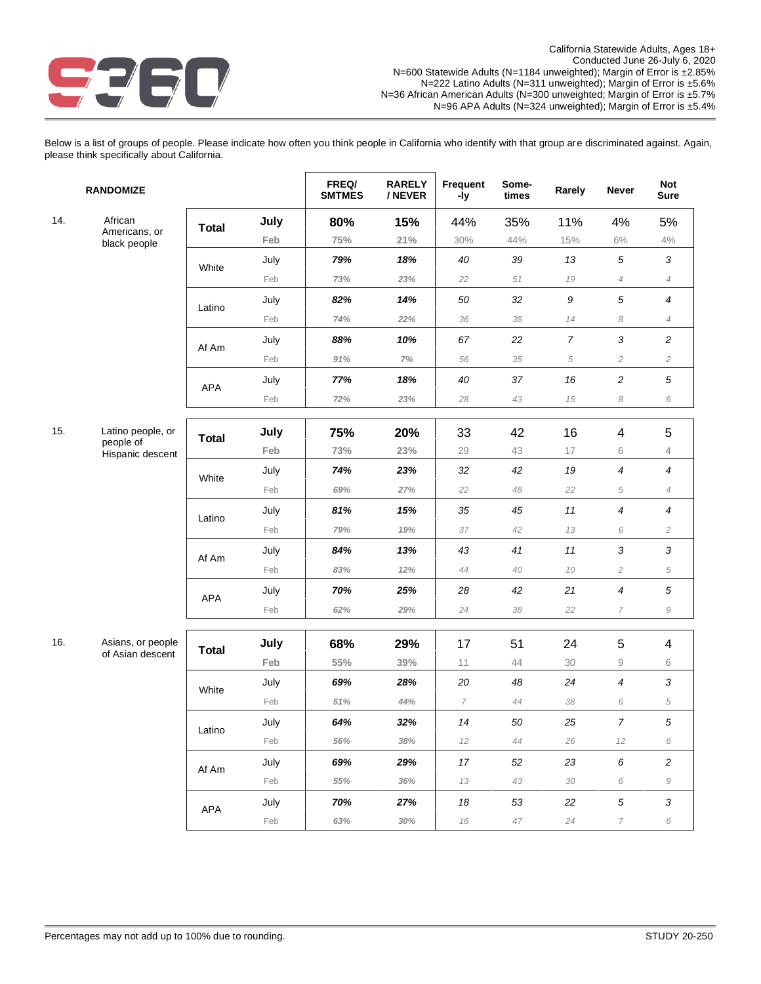

Below is a list of groups of people. Please indicate how often you think people in California who identify with that group are discriminated against. Again, please think specifically about California.

|     | <b>RANDOMIZE</b>                      |              |      | FREQ/<br><b>SMTMES</b> | <b>RARELY</b><br>/ NEVER | Frequent<br>-ly | Some-<br>times | Rarely           | <b>Never</b>             | <b>Not</b><br><b>Sure</b> |
|-----|---------------------------------------|--------------|------|------------------------|--------------------------|-----------------|----------------|------------------|--------------------------|---------------------------|
| 14. | African                               | <b>Total</b> | July | 80%                    | 15%                      | 44%             | 35%            | 11%              | 4%                       | 5%                        |
|     | Americans, or<br>black people         |              | Feb  | 75%                    | 21%                      | 30%             | 44%            | 15%              | $6\%$                    | $4\%$                     |
|     |                                       | White        | July | 79%                    | 18%                      | 40              | 39             | 13               | $\sqrt{5}$               | $\mathfrak{Z}$            |
|     |                                       |              | Feb  | 73%                    | 23%                      | 22              | 51             | 19               | $\overline{4}$           | $\overline{4}$            |
|     |                                       | Latino       | July | 82%                    | 14%                      | 50              | 32             | $\boldsymbol{9}$ | $\sqrt{5}$               | 4                         |
|     |                                       |              | Feb  | 74%                    | 22%                      | 36              | 38             | 14               | 8                        | $\overline{4}$            |
|     |                                       | Af Am        | July | 88%                    | 10%                      | 67              | 22             | $\boldsymbol{7}$ | 3                        | $\overline{c}$            |
|     |                                       |              | Feb  | 91%                    | 7%                       | 56              | 35             | 5                | $\overline{c}$           | $\sqrt{2}$                |
|     |                                       | APA          | July | 77%                    | 18%                      | 40              | 37             | 16               | $\overline{\mathbf{c}}$  | $\sqrt{5}$                |
|     |                                       |              | Feb  | 72%                    | 23%                      | 28              | 43             | 15               | 8                        | 6                         |
| 15. | Latino people, or                     |              | July | 75%                    | 20%                      | 33              | 42             | 16               | 4                        | 5                         |
|     | people of<br>Hispanic descent         | <b>Total</b> | Feb  | 73%                    | 23%                      | 29              | 43             | 17               | 6                        | 4                         |
|     |                                       |              | July | 74%                    | 23%                      | 32              | 42             | 19               | 4                        | $\boldsymbol{4}$          |
|     |                                       | White        | Feb  | 69%                    | 27%                      | 22              | 48             | 22               | $\sqrt{5}$               | $\overline{4}$            |
|     |                                       | Latino       | July | 81%                    | 15%                      | 35              | 45             | $11$             | 4                        | 4                         |
|     |                                       |              | Feb  | 79%                    | 19%                      | 37              | 42             | 13               | 6                        | $\mathbf{2}$              |
|     |                                       | Af Am        | July | 84%                    | 13%                      | 43              | 41             | $11$             | 3                        | 3                         |
|     |                                       |              | Feb  | 83%                    | 12%                      | 44              | 40             | 10               | $\overline{c}$           | $\sqrt{5}$                |
|     |                                       | APA          | July | 70%                    | 25%                      | 28              | 42             | 21               | 4                        | $\sqrt{5}$                |
|     |                                       |              | Feb  | 62%                    | 29%                      | 24              | 38             | 22               | $\overline{\phantom{a}}$ | $\mathcal G$              |
|     |                                       |              |      |                        |                          |                 |                |                  |                          |                           |
| 16. | Asians, or people<br>of Asian descent | <b>Total</b> | July | 68%                    | 29%                      | 17              | 51             | 24               | 5                        | 4                         |
|     |                                       |              | Feb  | $55\%$                 | $39\%$                   | 11              | 44             | 30               | $\mathrel{\mathsf{g}}$   | 6                         |
|     |                                       | White        | July | 69%                    | 28%                      | $20\,$          | 48             | 24               | 4                        | 3                         |
|     |                                       |              | Feb  | 51%                    | 44%                      | 7               | 44             | 38               | 6                        | $\sqrt{5}$                |
|     |                                       | Latino       | July | 64%                    | 32%                      | 14              | 50             | 25               | $\boldsymbol{7}$         | 5                         |
|     |                                       |              | Feb  | 56%                    | 38%                      | 12              | 44             | 26               | 12                       | 6                         |
|     |                                       | Af Am        | July | 69%                    | 29%                      | 17              | 52             | 23               | $\boldsymbol{6}$         | $\overline{c}$            |
|     |                                       |              | Feb  | 55%                    | 36%                      | 13              | 43             | 30               | 6                        | $\mathcal G$              |
|     |                                       | APA          | July | 70%                    | 27%                      | 18              | 53             | 22               | $\sqrt{5}$               | $\sqrt{3}$                |
|     |                                       |              | Feb  | 63%                    | 30%                      | 16              | 47             | 24               | $\overline{7}$           | 6                         |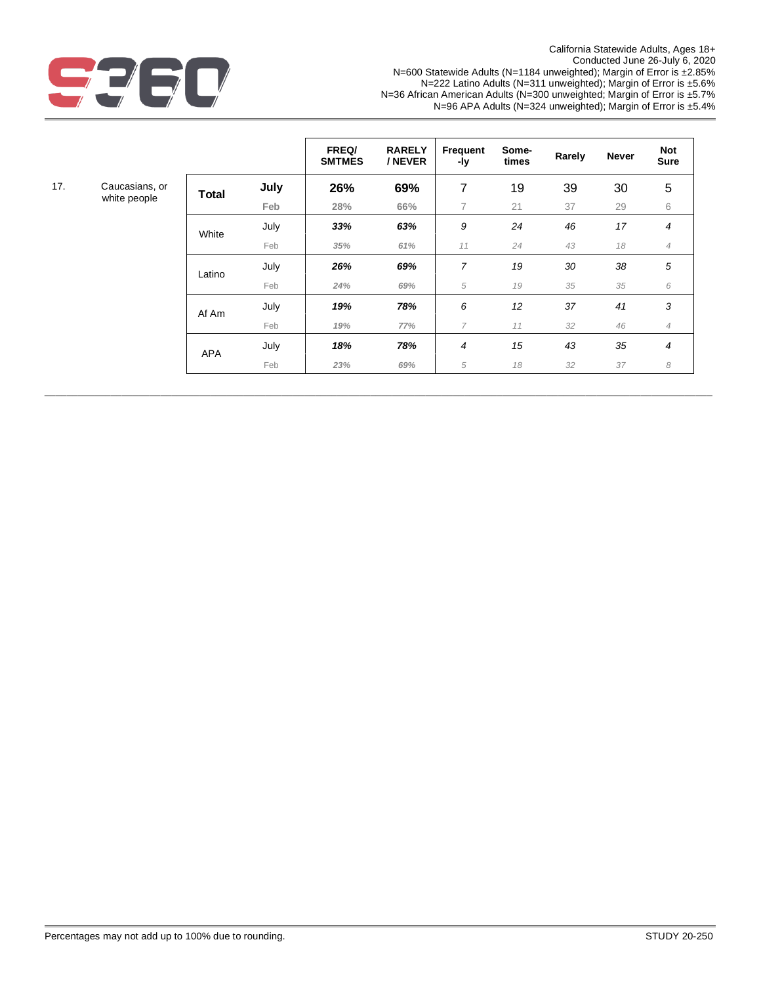

California Statewide Adults, Ages 18+ Conducted June 26-July 6, 2020 N=600 Statewide Adults (N=1184 unweighted); Margin of Error is ±2.85% N=222 Latino Adults (N=311 unweighted); Margin of Error is ±5.6% N=36 African American Adults (N=300 unweighted; Margin of Error is ±5.7% N=96 APA Adults (N=324 unweighted); Margin of Error is ±5.4%

|     |                                |              |      | FREQ/<br><b>SMTMES</b> | <b>RARELY</b><br>/ NEVER | Frequent<br>-ly | Some-<br>times | Rarely | <b>Never</b> | <b>Not</b><br><b>Sure</b> |
|-----|--------------------------------|--------------|------|------------------------|--------------------------|-----------------|----------------|--------|--------------|---------------------------|
| 17. | Caucasians, or<br>white people | <b>Total</b> | July | 26%                    | 69%                      | 7               | 19             | 39     | 30           | 5                         |
|     |                                |              | Feb  | 28%                    | 66%                      | 7               | 21             | 37     | 29           | 6                         |
|     |                                | White        | July | 33%                    | 63%                      | 9               | 24             | 46     | 17           | 4                         |
|     |                                |              | Feb  | 35%                    | 61%                      | 11              | 24             | 43     | 18           | $\overline{4}$            |
|     |                                | Latino       | July | 26%                    | 69%                      | $\overline{7}$  | 19             | 30     | 38           | 5                         |
|     |                                |              | Feb  | 24%                    | 69%                      | 5               | 19             | 35     | 35           | 6                         |
|     |                                | Af Am        | July | 19%                    | 78%                      | 6               | 12             | 37     | 41           | 3                         |
|     |                                |              | Feb  | 19%                    | 77%                      | 7               | 11             | 32     | 46           | $\overline{4}$            |
|     |                                | <b>APA</b>   | July | 18%                    | 78%                      | 4               | 15             | 43     | 35           | 4                         |
|     |                                |              | Feb  | 23%                    | 69%                      | 5               | 18             | 32     | 37           | 8                         |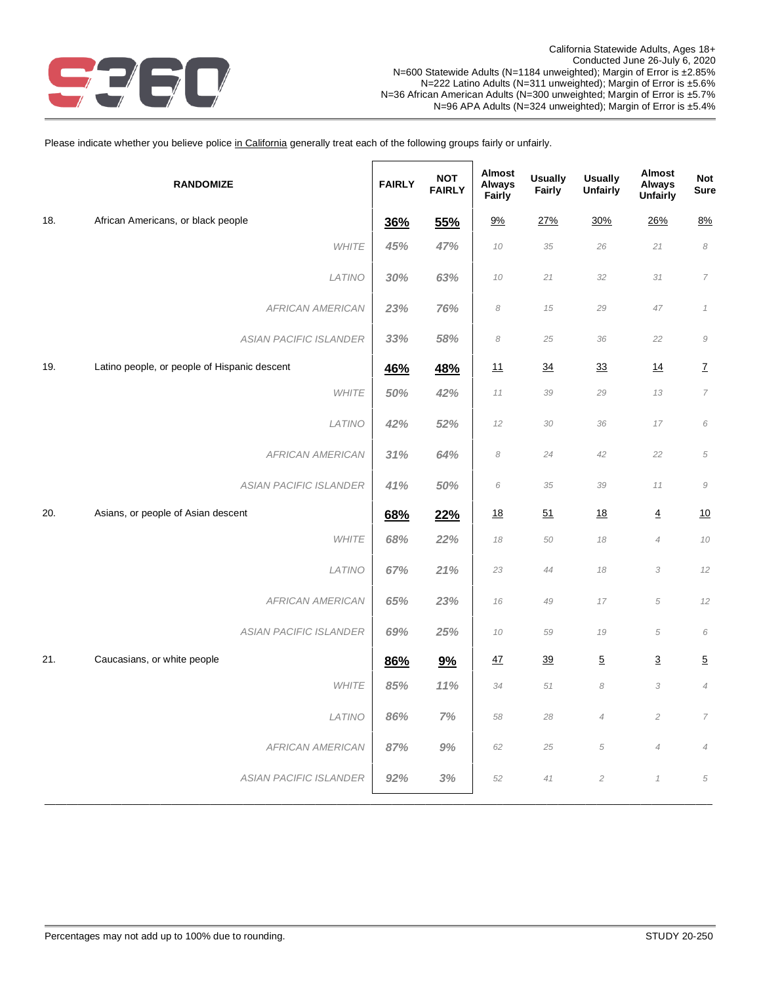

Please indicate whether you believe police in California generally treat each of the following groups fairly or unfairly.

|     | <b>RANDOMIZE</b>                             | <b>FAIRLY</b> | <b>NOT</b><br><b>FAIRLY</b> | Almost<br><b>Always</b><br>Fairly | <b>Usually</b><br>Fairly | <b>Usually</b><br><b>Unfairly</b> | Almost<br><b>Always</b><br><b>Unfairly</b> | <b>Not</b><br><b>Sure</b>     |
|-----|----------------------------------------------|---------------|-----------------------------|-----------------------------------|--------------------------|-----------------------------------|--------------------------------------------|-------------------------------|
| 18. | African Americans, or black people           | 36%           | 55%                         | 9%                                | 27%                      | 30%                               | 26%                                        | 8%                            |
|     | <b>WHITE</b>                                 | 45%           | 47%                         | 10                                | 35                       | 26                                | 21                                         | $\boldsymbol{\mathcal{S}}$    |
|     | LATINO                                       | 30%           | 63%                         | 10                                | 21                       | 32                                | 31                                         | $\overline{7}$                |
|     | <b>AFRICAN AMERICAN</b>                      | 23%           | 76%                         | 8                                 | 15                       | 29                                | 47                                         | $\it 1$                       |
|     | ASIAN PACIFIC ISLANDER                       | 33%           | 58%                         | 8                                 | 25                       | 36                                | 22                                         | $\mathcal G$                  |
| 19. | Latino people, or people of Hispanic descent | <b>46%</b>    | 48%                         | 11                                | $\overline{34}$          | 33                                | 14                                         | $\underline{\mathsf{Z}}$      |
|     | <b>WHITE</b>                                 | 50%           | 42%                         | 11                                | 39                       | 29                                | 13                                         | $\overline{7}$                |
|     | LATINO                                       | 42%           | 52%                         | 12                                | 30                       | 36                                | 17                                         | 6                             |
|     | <b>AFRICAN AMERICAN</b>                      | 31%           | 64%                         | 8                                 | 24                       | 42                                | 22                                         | $\sqrt{5}$                    |
|     | <b>ASIAN PACIFIC ISLANDER</b>                | 41%           | 50%                         | 6                                 | 35                       | 39                                | 11                                         | $\cal{G}$                     |
| 20. | Asians, or people of Asian descent           | 68%           | 22%                         | <u>18</u>                         | 51                       | <u>18</u>                         | $\overline{4}$                             | 10                            |
|     | <b>WHITE</b>                                 | 68%           | 22%                         | 18                                | 50                       | 18                                | $\overline{4}$                             | 10                            |
|     | LATINO                                       | 67%           | 21%                         | 23                                | 44                       | 18                                | 3                                          | 12                            |
|     | <b>AFRICAN AMERICAN</b>                      | 65%           | 23%                         | 16                                | 49                       | 17                                | 5                                          | 12                            |
|     | ASIAN PACIFIC ISLANDER                       | 69%           | 25%                         | 10                                | 59                       | 19                                | $\sqrt{5}$                                 | 6                             |
| 21. | Caucasians, or white people                  | 86%           | 9%                          | 47                                | 39                       | $\overline{5}$                    | $\overline{3}$                             | $\overline{5}$                |
|     | <b>WHITE</b>                                 | 85%           | 11%                         | 34                                | 51                       | 8                                 | 3                                          | $\ensuremath{\mathnormal{4}}$ |
|     | LATINO                                       | 86%           | 7%                          | 58                                | 28                       | $\overline{4}$                    | $\overline{c}$                             | $\overline{7}$                |
|     | <b>AFRICAN AMERICAN</b>                      | 87%           | 9%                          | 62                                | 25                       | 5                                 | $\overline{4}$                             | $\ensuremath{\mathnormal{4}}$ |
|     | <b>ASIAN PACIFIC ISLANDER</b>                | 92%           | 3%                          | 52                                | 41                       | $\overline{c}$                    | $\it 1$                                    | 5                             |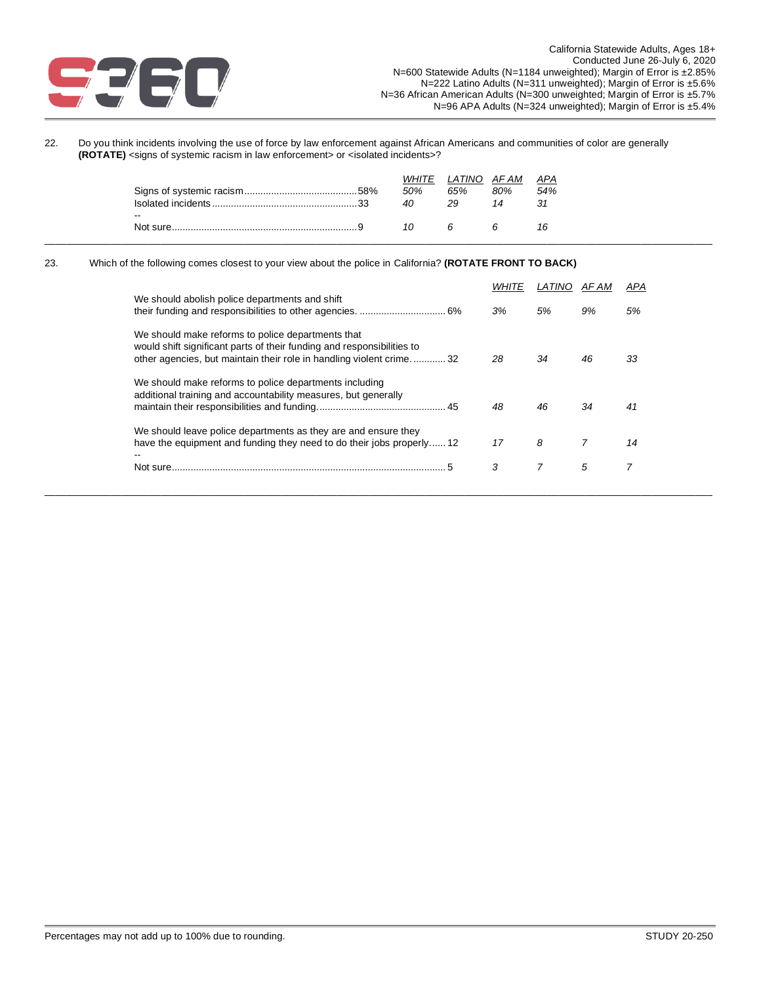

22. Do you think incidents involving the use of force by law enforcement against African Americans and communities of color are generally **(ROTATE)** <signs of systemic racism in law enforcement> or <isolated incidents>?

|                                       | <b>WHITE</b><br>50%<br>40 | LATINO<br>65%<br>29 | AF AM<br>80%<br>14 | APA<br>54%<br>-31 |
|---------------------------------------|---------------------------|---------------------|--------------------|-------------------|
| $\overline{\phantom{a}}$<br>Not sure. |                           |                     |                    | 16                |

#### 23. Which of the following comes closest to your view about the police in California? **(ROTATE FRONT TO BACK)**

|                                                                                                                                                                                                    |    |    | AF AM | APA |
|----------------------------------------------------------------------------------------------------------------------------------------------------------------------------------------------------|----|----|-------|-----|
| We should abolish police departments and shift                                                                                                                                                     | 3% | 5% | 9%    | 5%  |
| We should make reforms to police departments that<br>would shift significant parts of their funding and responsibilities to<br>other agencies, but maintain their role in handling violent crime32 | 28 | 34 | 46    | 33  |
| We should make reforms to police departments including<br>additional training and accountability measures, but generally                                                                           | 48 | 46 | 34    | 41  |
| We should leave police departments as they are and ensure they<br>have the equipment and funding they need to do their jobs properly 12                                                            | 17 | 8  | 7     | 14  |
| Not sure.                                                                                                                                                                                          | 3  |    | 5     |     |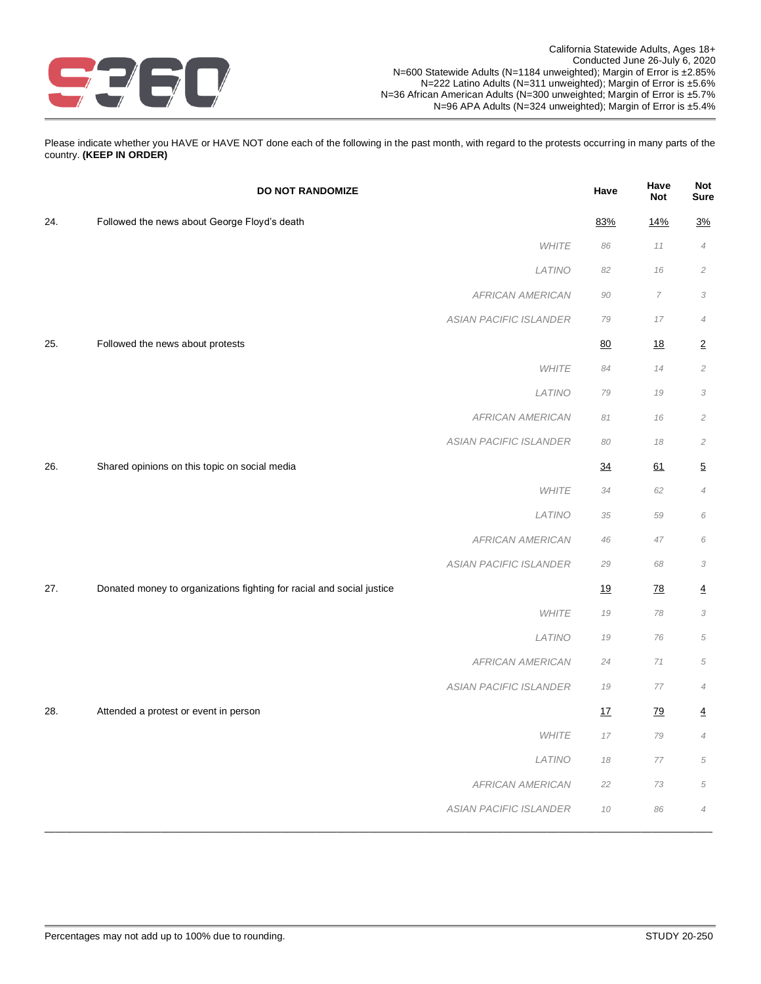

Please indicate whether you HAVE or HAVE NOT done each of the following in the past month, with regard to the protests occurring in many parts of the country. **(KEEP IN ORDER)**

|     | <b>DO NOT RANDOMIZE</b>                                               | Have      | Have<br><b>Not</b> | <b>Not</b><br><b>Sure</b> |
|-----|-----------------------------------------------------------------------|-----------|--------------------|---------------------------|
| 24. | Followed the news about George Floyd's death                          | 83%       | 14%                | <u>3%</u>                 |
|     | <b>WHITE</b>                                                          | 86        | 11                 | $\overline{4}$            |
|     | LATINO                                                                | 82        | 16                 | $\overline{2}$            |
|     | <b>AFRICAN AMERICAN</b>                                               | 90        | $\overline{7}$     | 3                         |
|     | <b>ASIAN PACIFIC ISLANDER</b>                                         | 79        | 17                 | $\overline{4}$            |
| 25. | Followed the news about protests                                      | 80        | <u>18</u>          | $\overline{2}$            |
|     | WHITE                                                                 | 84        | 14                 | $\overline{2}$            |
|     | LATINO                                                                | 79        | 19                 | 3                         |
|     | <b>AFRICAN AMERICAN</b>                                               | 81        | 16                 | $\sqrt{2}$                |
|     | <b>ASIAN PACIFIC ISLANDER</b>                                         | 80        | 18                 | $\sqrt{2}$                |
| 26. | Shared opinions on this topic on social media                         | 34        | 61                 | $\overline{5}$            |
|     | WHITE                                                                 | 34        | 62                 | $\overline{4}$            |
|     | LATINO                                                                | 35        | 59                 | 6                         |
|     | <b>AFRICAN AMERICAN</b>                                               | 46        | 47                 | 6                         |
|     | ASIAN PACIFIC ISLANDER                                                | 29        | 68                 | 3                         |
| 27. | Donated money to organizations fighting for racial and social justice | <u>19</u> | 78                 | $\overline{4}$            |
|     | <b>WHITE</b>                                                          | 19        | 78                 | 3                         |
|     | LATINO                                                                | 19        | 76                 | $\sqrt{5}$                |
|     | <b>AFRICAN AMERICAN</b>                                               | 24        | 71                 | $\sqrt{5}$                |
|     | <b>ASIAN PACIFIC ISLANDER</b>                                         | 19        | 77                 | $\overline{4}$            |
| 28. | Attended a protest or event in person                                 | 17        | <u>79</u>          | $\overline{4}$            |
|     | WHITE                                                                 | 17        | 79                 | $\overline{4}$            |
|     | LATINO                                                                | 18        | $77\,$             | $\sqrt{5}$                |
|     | <b>AFRICAN AMERICAN</b>                                               | 22        | 73                 | 5                         |
|     | ASIAN PACIFIC ISLANDER                                                | $10$      | 86                 | $\overline{4}$            |
|     |                                                                       |           |                    |                           |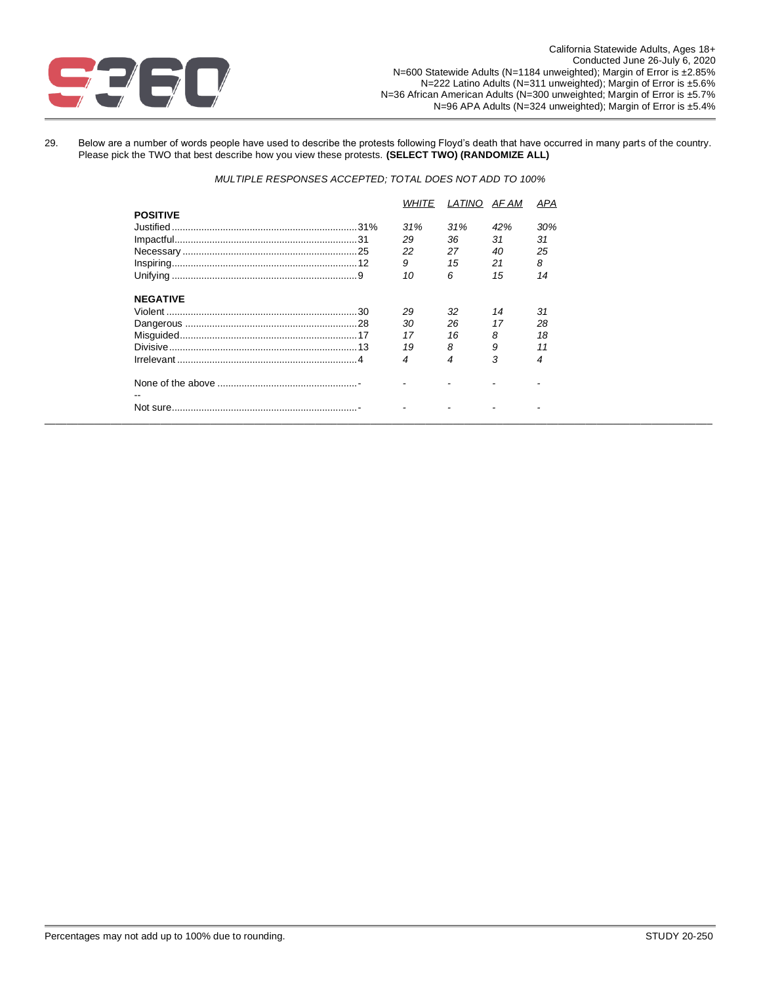

29. Below are a number of words people have used to describe the protests following Floyd's death that have occurred in many parts of the country. Please pick the TWO that best describe how you view these protests. **(SELECT TWO) (RANDOMIZE ALL)**

*MULTIPLE RESPONSES ACCEPTED; TOTAL DOES NOT ADD TO 100%*

|                 |     |     | AF AM | APA |
|-----------------|-----|-----|-------|-----|
| <b>POSITIVE</b> |     |     |       |     |
|                 | 31% | 31% | 42%   | 30% |
|                 | 29  | 36  | 31    | 31  |
|                 | 22  | 27  | 40    | 25  |
|                 | 9   | 15  | 21    | 8   |
|                 | 10  | 6   | 15    | 14  |
|                 |     |     |       |     |
| <b>NEGATIVE</b> |     |     |       |     |
|                 | 29  | 32  | 14    | 31  |
|                 | 30  | 26  | 17    | 28  |
|                 | 17  | 16  | 8     | 18  |
|                 | 19  | 8   | 9     |     |
|                 | 4   | 4   | 3     | 4   |
|                 |     |     |       |     |
|                 |     |     |       |     |
|                 |     |     |       |     |
|                 |     |     |       |     |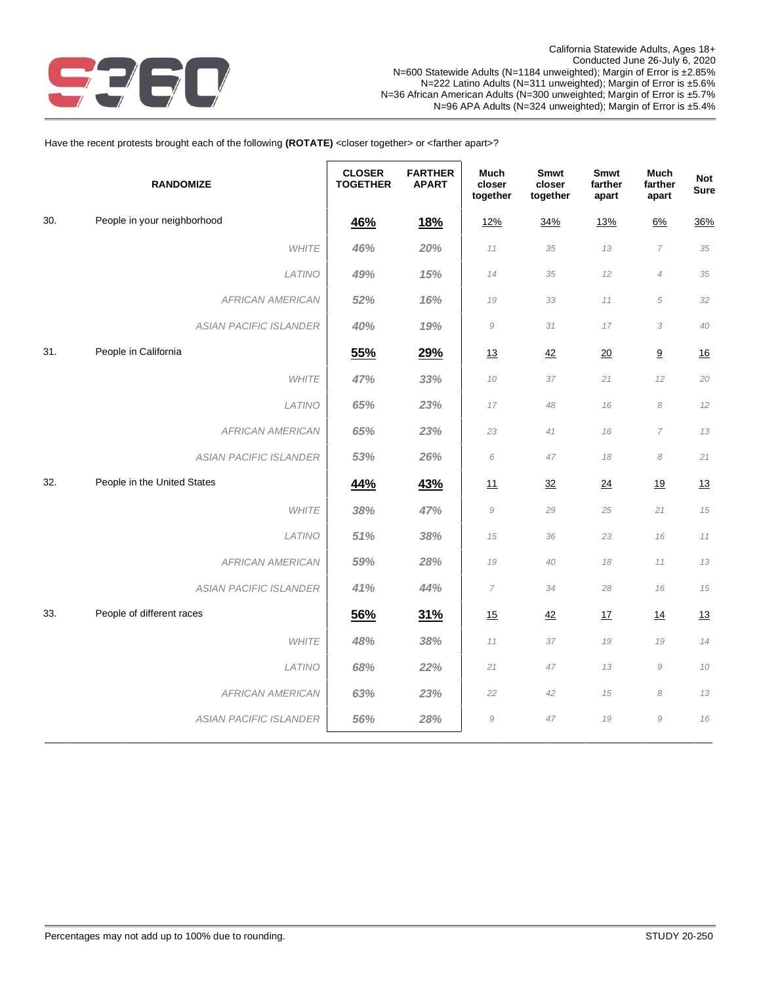

# Have the recent protests brought each of the following (ROTATE) <closer together> or <farther apart>?

|     | <b>RANDOMIZE</b>              | <b>CLOSER</b><br><b>TOGETHER</b> | <b>FARTHER</b><br><b>APART</b> | <b>Much</b><br>closer<br>together | Smwt<br>closer<br>together | Smwt<br>farther<br>apart | <b>Much</b><br>farther<br>apart | <b>Not</b><br><b>Sure</b> |
|-----|-------------------------------|----------------------------------|--------------------------------|-----------------------------------|----------------------------|--------------------------|---------------------------------|---------------------------|
| 30. | People in your neighborhood   | 46%                              | 18%                            | 12%                               | 34%                        | 13%                      | 6%                              | 36%                       |
|     | <b>WHITE</b>                  | 46%                              | 20%                            | 11                                | 35                         | 13                       | $\overline{7}$                  | 35                        |
|     | LATINO                        | 49%                              | 15%                            | 14                                | 35                         | 12                       | $\overline{4}$                  | 35                        |
|     | <b>AFRICAN AMERICAN</b>       | 52%                              | 16%                            | 19                                | 33                         | 11                       | 5                               | 32                        |
|     | <b>ASIAN PACIFIC ISLANDER</b> | 40%                              | 19%                            | $\mathcal G$                      | 31                         | 17                       | 3                               | 40                        |
| 31. | People in California          | 55%                              | 29%                            | 13                                | 42                         | 20                       | 9                               | 16                        |
|     | <b>WHITE</b>                  | 47%                              | 33%                            | 10                                | 37                         | 21                       | 12                              | 20                        |
|     | LATINO                        | 65%                              | 23%                            | 17                                | 48                         | 16                       | 8                               | 12                        |
|     | <b>AFRICAN AMERICAN</b>       | 65%                              | 23%                            | 23                                | 41                         | 16                       | $\overline{7}$                  | 13                        |
|     | ASIAN PACIFIC ISLANDER        | 53%                              | 26%                            | 6                                 | 47                         | 18                       | 8                               | 21                        |
| 32. | People in the United States   | 44%                              | 43%                            | 11                                | 32                         | 24                       | 19                              | 13                        |
|     | <b>WHITE</b>                  | 38%                              | 47%                            | $\mathcal G$                      | 29                         | 25                       | 21                              | 15                        |
|     | LATINO                        | 51%                              | 38%                            | 15                                | 36                         | 23                       | 16                              | 11                        |
|     | <b>AFRICAN AMERICAN</b>       | 59%                              | 28%                            | 19                                | 40                         | 18                       | 11                              | 13                        |
|     | <b>ASIAN PACIFIC ISLANDER</b> | 41%                              | 44%                            | 7                                 | 34                         | 28                       | 16                              | 15                        |
| 33. | People of different races     | 56%                              | 31%                            | 15                                | 42                         | 17                       | <u>14</u>                       | 13                        |
|     | <b>WHITE</b>                  | 48%                              | 38%                            | 11                                | 37                         | 19                       | 19                              | 14                        |
|     | LATINO                        | 68%                              | 22%                            | 21                                | 47                         | 13                       | $\mathcal G$                    | $10$                      |
|     | <b>AFRICAN AMERICAN</b>       | 63%                              | 23%                            | 22                                | 42                         | 15                       | 8                               | 13                        |
|     | <b>ASIAN PACIFIC ISLANDER</b> | 56%                              | 28%                            | $\mathcal G$                      | 47                         | 19                       | $\mathcal G$                    | 16                        |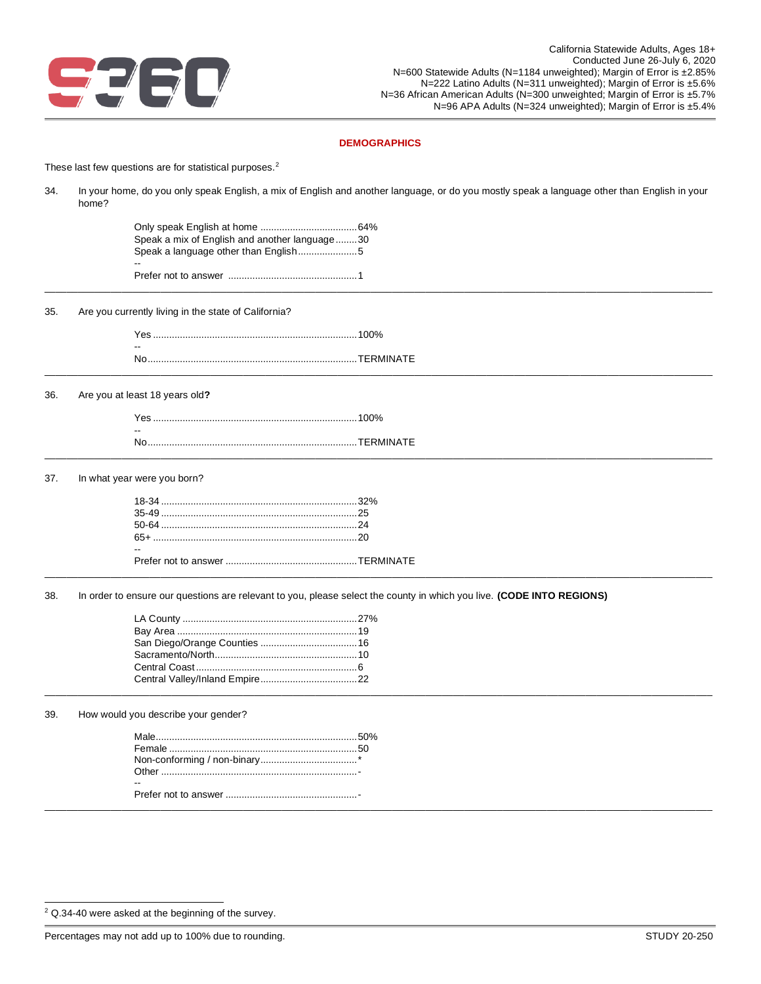

## **DEMOGRAPHICS**

These last few questions are for statistical purposes.<sup>2</sup>

| 34. | home?                                                                                 | In your home, do you only speak English, a mix of English and another language, or do you mostly speak a language other than English in your |
|-----|---------------------------------------------------------------------------------------|----------------------------------------------------------------------------------------------------------------------------------------------|
|     | Speak a mix of English and another language30<br>Speak a language other than English5 |                                                                                                                                              |
|     |                                                                                       |                                                                                                                                              |
| 35. | Are you currently living in the state of California?                                  |                                                                                                                                              |
|     |                                                                                       |                                                                                                                                              |
|     |                                                                                       |                                                                                                                                              |
| 36. | Are you at least 18 years old?                                                        |                                                                                                                                              |
|     |                                                                                       |                                                                                                                                              |
|     |                                                                                       |                                                                                                                                              |
| 37. | In what year were you born?                                                           |                                                                                                                                              |
|     |                                                                                       |                                                                                                                                              |
|     |                                                                                       |                                                                                                                                              |
|     |                                                                                       |                                                                                                                                              |
|     |                                                                                       |                                                                                                                                              |
| 38. |                                                                                       | In order to ensure our questions are relevant to you, please select the county in which you live. (CODE INTO REGIONS)                        |
|     |                                                                                       |                                                                                                                                              |
|     |                                                                                       |                                                                                                                                              |
|     |                                                                                       |                                                                                                                                              |
|     |                                                                                       |                                                                                                                                              |
|     |                                                                                       |                                                                                                                                              |
|     |                                                                                       |                                                                                                                                              |

39. How would you describe your gender?

| Male            | 50% |
|-----------------|-----|
| Female .        | .50 |
|                 |     |
| $\bigcirc$ ther |     |
| $- -$           |     |
|                 |     |
|                 |     |

Percentages may not add up to 100% due to rounding. The state of the state of the STUDY 20-250 STUDY 20-250

<sup>2</sup> Q.34-40 were asked at the beginning of the survey.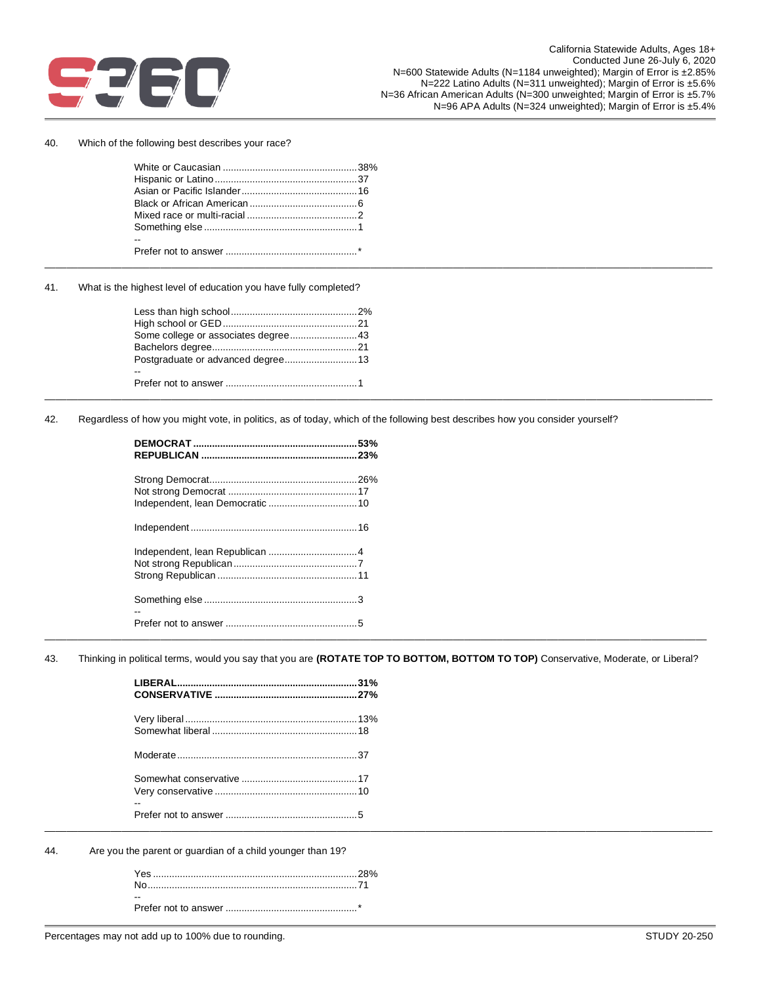

40. Which of the following best describes your race?

41. What is the highest level of education you have fully completed?

| Some college or associates degree43 |  |  |
|-------------------------------------|--|--|
|                                     |  |  |
|                                     |  |  |
| $- -$                               |  |  |
|                                     |  |  |
|                                     |  |  |

42. Regardless of how you might vote, in politics, as of today, which of the following best describes how you consider yourself?

\_\_\_\_\_\_\_\_\_\_\_\_\_\_\_\_\_\_\_\_\_\_\_\_\_\_\_\_\_\_\_\_\_\_\_\_\_\_\_\_\_\_\_\_\_\_\_\_\_\_\_\_\_\_\_\_\_\_\_\_\_\_\_\_\_\_\_\_\_\_\_\_\_\_\_\_\_\_\_\_\_\_\_\_\_\_\_\_\_\_\_\_\_\_\_\_\_\_\_\_\_\_\_\_\_\_\_\_\_\_\_\_\_\_\_\_\_\_\_\_\_

\_\_\_\_\_\_\_\_\_\_\_\_\_\_\_\_\_\_\_\_\_\_\_\_\_\_\_\_\_\_\_\_\_\_\_\_\_\_\_\_\_\_\_\_\_\_\_\_\_\_\_\_\_\_\_\_\_\_\_\_\_\_\_\_\_\_\_\_\_\_\_\_\_\_\_\_\_\_\_\_\_\_\_\_\_\_\_\_\_\_\_\_\_\_\_\_\_\_\_\_\_\_\_\_\_\_\_\_\_\_\_\_\_\_\_\_\_\_\_\_ 43. Thinking in political terms, would you say that you are **(ROTATE TOP TO BOTTOM, BOTTOM TO TOP)** Conservative, Moderate, or Liberal?

| $\overline{\phantom{m}}$ |
|--------------------------|
|                          |

44. Are you the parent or guardian of a child younger than 19?

| -- |  |
|----|--|
|    |  |